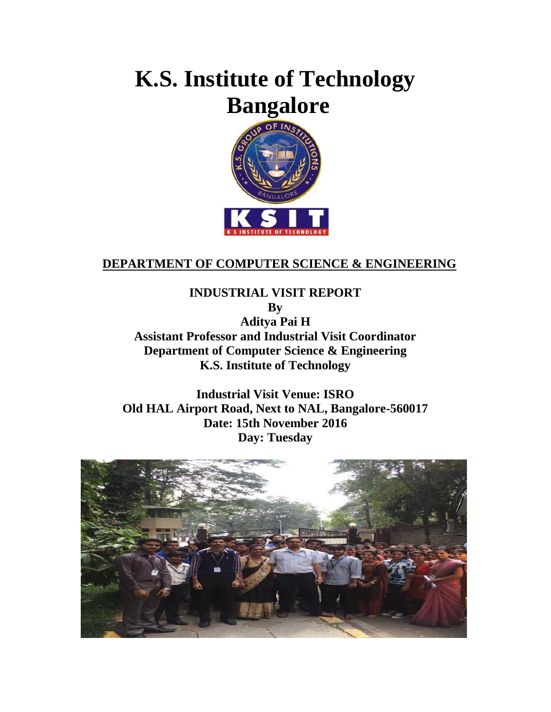# **K.S. Institute of Technology Bangalore**



#### **DEPARTMENT OF COMPUTER SCIENCE & ENGINEERING**

**INDUSTRIAL VISIT REPORT By Aditya Pai H Assistant Professor and Industrial Visit Coordinator Department of Computer Science & Engineering K.S. Institute of Technology**

**Industrial Visit Venue: ISRO Old HAL Airport Road, Next to NAL, Bangalore-560017 Date: 15th November 2016 Day: Tuesday**

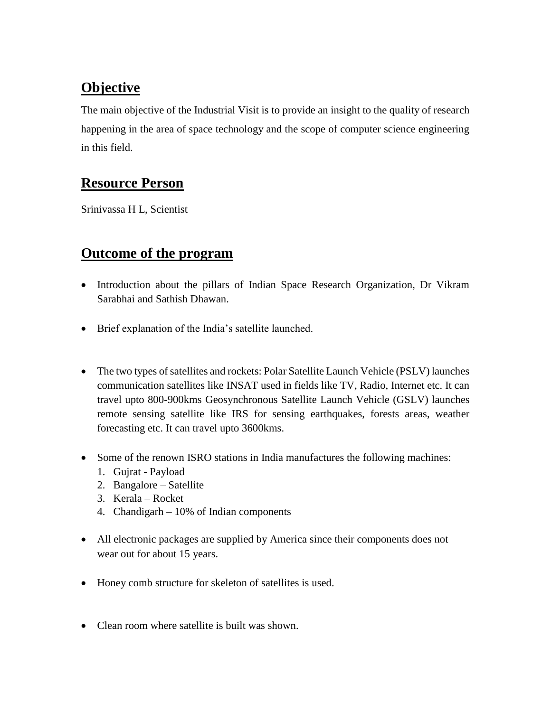## **Objective**

The main objective of the Industrial Visit is to provide an insight to the quality of research happening in the area of space technology and the scope of computer science engineering in this field.

#### **Resource Person**

Srinivassa H L, Scientist

#### **Outcome of the program**

- Introduction about the pillars of Indian Space Research Organization, Dr Vikram Sarabhai and Sathish Dhawan.
- Brief explanation of the India's satellite launched.
- The two types of satellites and rockets: Polar Satellite Launch Vehicle (PSLV) launches communication satellites like INSAT used in fields like TV, Radio, Internet etc. It can travel upto 800-900kms Geosynchronous Satellite Launch Vehicle (GSLV) launches remote sensing satellite like IRS for sensing earthquakes, forests areas, weather forecasting etc. It can travel upto 3600kms.
- Some of the renown ISRO stations in India manufactures the following machines:
	- 1. Gujrat Payload
	- 2. Bangalore Satellite
	- 3. Kerala Rocket
	- 4. Chandigarh 10% of Indian components
- All electronic packages are supplied by America since their components does not wear out for about 15 years.
- Honey comb structure for skeleton of satellites is used.
- Clean room where satellite is built was shown.